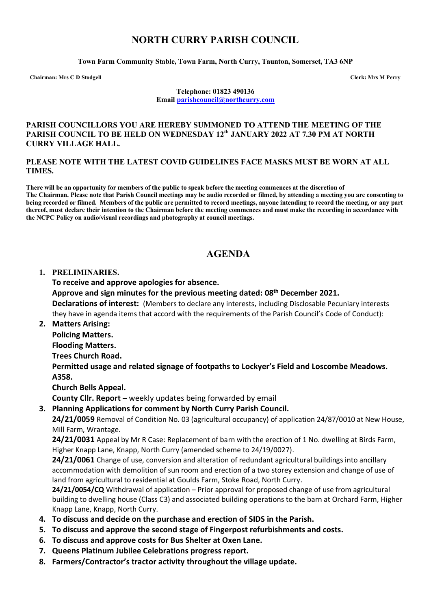## **NORTH CURRY PARISH COUNCIL**

**Town Farm Community Stable, Town Farm, North Curry, Taunton, Somerset, TA3 6NP**

**Chairman: Mrs C D Stodgell Clerk: Mrs M Perry**

**Telephone: 01823 490136 Email [parishcouncil@northcurry.com](mailto:parishcouncil@northcurry.com)**

#### **PARISH COUNCILLORS YOU ARE HEREBY SUMMONED TO ATTEND THE MEETING OF THE PARISH COUNCIL TO BE HELD ON WEDNESDAY 12th JANUARY 2022 AT 7.30 PM AT NORTH CURRY VILLAGE HALL.**

#### **PLEASE NOTE WITH THE LATEST COVID GUIDELINES FACE MASKS MUST BE WORN AT ALL TIMES.**

**There will be an opportunity for members of the public to speak before the meeting commences at the discretion of The Chairman. Please note that Parish Council meetings may be audio recorded or filmed, by attending a meeting you are consenting to being recorded or filmed. Members of the public are permitted to record meetings, anyone intending to record the meeting, or any part thereof, must declare their intention to the Chairman before the meeting commences and must make the recording in accordance with the NCPC Policy on audio/visual recordings and photography at council meetings.** 

# **AGENDA**

### **1. PRELIMINARIES.**

**To receive and approve apologies for absence.**

**Approve and sign minutes for the previous meeting dated: 08th December 2021.**

**Declarations of interest:** (Members to declare any interests, including Disclosable Pecuniary interests they have in agenda items that accord with the requirements of the Parish Council's Code of Conduct):

**2. Matters Arising:** 

**Policing Matters.**

**Flooding Matters.**

**Trees Church Road.**

**Permitted usage and related signage of footpaths to Lockyer's Field and Loscombe Meadows. A358.**

**Church Bells Appeal.**

**County Cllr. Report –** weekly updates being forwarded by email

### **3. Planning Applications for comment by North Curry Parish Council.**

**24/21/0059** Removal of Condition No. 03 (agricultural occupancy) of application 24/87/0010 at New House, Mill Farm, Wrantage.

**24/21/0031** Appeal by Mr R Case: Replacement of barn with the erection of 1 No. dwelling at Birds Farm, Higher Knapp Lane, Knapp, North Curry (amended scheme to 24/19/0027).

**24/21/0061** Change of use, conversion and alteration of redundant agricultural buildings into ancillary accommodation with demolition of sun room and erection of a two storey extension and change of use of land from agricultural to residential at Goulds Farm, Stoke Road, North Curry.

**24/21/0054/CQ** Withdrawal of application – Prior approval for proposed change of use from agricultural building to dwelling house (Class C3) and associated building operations to the barn at Orchard Farm, Higher Knapp Lane, Knapp, North Curry.

- **4. To discuss and decide on the purchase and erection of SIDS in the Parish.**
- **5. To discuss and approve the second stage of Fingerpost refurbishments and costs.**
- **6. To discuss and approve costs for Bus Shelter at Oxen Lane.**
- **7. Queens Platinum Jubilee Celebrations progress report.**
- **8. Farmers/Contractor's tractor activity throughout the village update.**